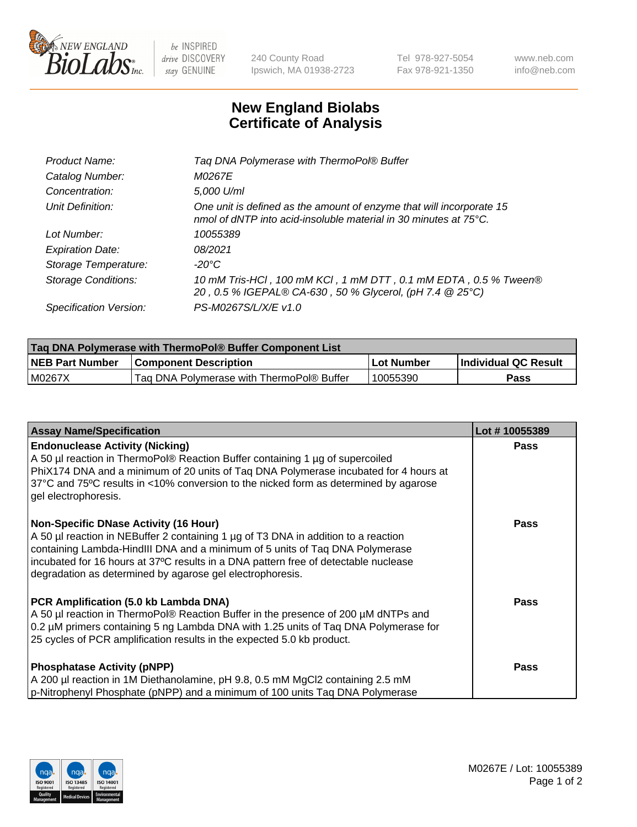

 $be$  INSPIRED drive DISCOVERY stay GENUINE

240 County Road Ipswich, MA 01938-2723 Tel 978-927-5054 Fax 978-921-1350 www.neb.com info@neb.com

## **New England Biolabs Certificate of Analysis**

| Tag DNA Polymerase with ThermoPol® Buffer                                                                                                |
|------------------------------------------------------------------------------------------------------------------------------------------|
| M0267E                                                                                                                                   |
| 5,000 U/ml                                                                                                                               |
| One unit is defined as the amount of enzyme that will incorporate 15<br>nmol of dNTP into acid-insoluble material in 30 minutes at 75°C. |
| 10055389                                                                                                                                 |
| 08/2021                                                                                                                                  |
| $-20^{\circ}$ C                                                                                                                          |
| 10 mM Tris-HCl, 100 mM KCl, 1 mM DTT, 0.1 mM EDTA, 0.5 % Tween®<br>20, 0.5 % IGEPAL® CA-630, 50 % Glycerol, (pH 7.4 @ 25°C)              |
| PS-M0267S/L/X/E v1.0                                                                                                                     |
|                                                                                                                                          |

| <b>Tag DNA Polymerase with ThermoPol® Buffer Component List</b> |                                           |            |                      |  |  |
|-----------------------------------------------------------------|-------------------------------------------|------------|----------------------|--|--|
| <b>NEB Part Number</b>                                          | <b>Component Description</b>              | Lot Number | Individual QC Result |  |  |
| M0267X                                                          | Tag DNA Polymerase with ThermoPol® Buffer | 10055390   | Pass                 |  |  |

| <b>Assay Name/Specification</b>                                                                                                                                                                                                                                                                                                                                        | Lot #10055389 |
|------------------------------------------------------------------------------------------------------------------------------------------------------------------------------------------------------------------------------------------------------------------------------------------------------------------------------------------------------------------------|---------------|
| <b>Endonuclease Activity (Nicking)</b><br>A 50 µl reaction in ThermoPol® Reaction Buffer containing 1 µg of supercoiled<br>PhiX174 DNA and a minimum of 20 units of Tag DNA Polymerase incubated for 4 hours at<br>37°C and 75°C results in <10% conversion to the nicked form as determined by agarose<br>gel electrophoresis.                                        | <b>Pass</b>   |
| <b>Non-Specific DNase Activity (16 Hour)</b><br>A 50 µl reaction in NEBuffer 2 containing 1 µg of T3 DNA in addition to a reaction<br>containing Lambda-HindIII DNA and a minimum of 5 units of Taq DNA Polymerase<br>incubated for 16 hours at 37°C results in a DNA pattern free of detectable nuclease<br>degradation as determined by agarose gel electrophoresis. | <b>Pass</b>   |
| PCR Amplification (5.0 kb Lambda DNA)<br>A 50 µl reaction in ThermoPol® Reaction Buffer in the presence of 200 µM dNTPs and<br>0.2 µM primers containing 5 ng Lambda DNA with 1.25 units of Taq DNA Polymerase for<br>25 cycles of PCR amplification results in the expected 5.0 kb product.                                                                           | <b>Pass</b>   |
| <b>Phosphatase Activity (pNPP)</b><br>A 200 µl reaction in 1M Diethanolamine, pH 9.8, 0.5 mM MgCl2 containing 2.5 mM<br>p-Nitrophenyl Phosphate (pNPP) and a minimum of 100 units Taq DNA Polymerase                                                                                                                                                                   | <b>Pass</b>   |